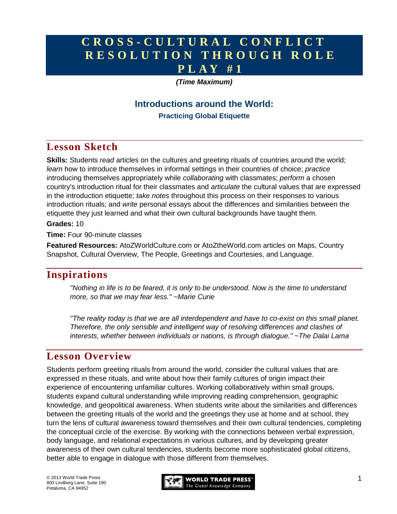# **C R O S S - C U L T U R A L C O N F L I C T R E S O L U T I O N T H R O U G H R O L E P L A Y # 1**

### *(Time Maximum)*

## **Introductions around the World: Practicing Global Etiquette**

# **Lesson Sketch**

**Skills:** Students *read* articles on the cultures and greeting rituals of countries around the world; *learn* how to introduce themselves in informal settings in their countries of choice; *practice* introducing themselves appropriately while *collaborating* with classmates; *perform* a chosen country's introduction ritual for their classmates and *articulate* the cultural values that are expressed in the introduction etiquette; *take notes* throughout this process on their responses to various introduction rituals; and *write* personal essays about the differences and similarities between the etiquette they just learned and what their own cultural backgrounds have taught them.

### **Grades:** 10

**Time:** Four 90-minute classes

**Featured Resources:** AtoZWorldCulture.com or AtoZtheWorld.com articles on Maps, Country Snapshot, Cultural Overview, The People, Greetings and Courtesies, and Language.

## **Inspirations**

*"Nothing in life is to be feared, it is only to be understood. Now is the time to understand more, so that we may fear less." ~Marie Curie*

*"The reality today is that we are all interdependent and have to co-exist on this small planet. Therefore, the only sensible and intelligent way of resolving differences and clashes of interests, whether between individuals or nations, is through dialogue." ~The Dalai Lama*

## **Lesson Overview**

Students perform greeting rituals from around the world, consider the cultural values that are expressed in these rituals, and write about how their family cultures of origin impact their experience of encountering unfamiliar cultures. Working collaboratively within small groups, students expand cultural understanding while improving reading comprehension, geographic knowledge, and geopolitical awareness. When students write about the similarities and differences between the greeting rituals of the world and the greetings they use at home and at school, they turn the lens of cultural awareness toward themselves and their own cultural tendencies, completing the conceptual circle of the exercise. By working with the connections between verbal expression, body language, and relational expectations in various cultures, and by developing greater awareness of their own cultural tendencies, students become more sophisticated global citizens, better able to engage in dialogue with those different from themselves.

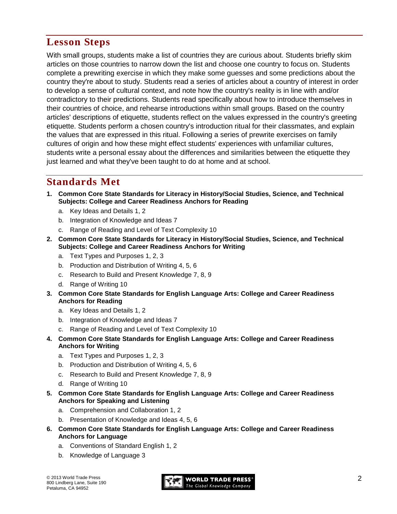# **Lesson Steps**

With small groups, students make a list of countries they are curious about. Students briefly skim articles on those countries to narrow down the list and choose one country to focus on. Students complete a prewriting exercise in which they make some guesses and some predictions about the country they're about to study. Students read a series of articles about a country of interest in order to develop a sense of cultural context, and note how the country's reality is in line with and/or contradictory to their predictions. Students read specifically about how to introduce themselves in their countries of choice, and rehearse introductions within small groups. Based on the country articles' descriptions of etiquette, students reflect on the values expressed in the country's greeting etiquette. Students perform a chosen country's introduction ritual for their classmates, and explain the values that are expressed in this ritual. Following a series of prewrite exercises on family cultures of origin and how these might effect students' experiences with unfamiliar cultures, students write a personal essay about the differences and similarities between the etiquette they just learned and what they've been taught to do at home and at school.

# **Standards Met**

- **1. Common Core State Standards for Literacy in History/Social Studies, Science, and Technical Subjects: College and Career Readiness Anchors for Reading**
	- a. Key Ideas and Details 1, 2
	- b. Integration of Knowledge and Ideas 7
	- c. Range of Reading and Level of Text Complexity 10
- **2. Common Core State Standards for Literacy in History/Social Studies, Science, and Technical Subjects: College and Career Readiness Anchors for Writing**
	- a. Text Types and Purposes 1, 2, 3
	- b. Production and Distribution of Writing 4, 5, 6
	- c. Research to Build and Present Knowledge 7, 8, 9
	- d. Range of Writing 10
- **3. Common Core State Standards for English Language Arts: College and Career Readiness Anchors for Reading**
	- a. Key Ideas and Details 1, 2
	- b. Integration of Knowledge and Ideas 7
	- c. Range of Reading and Level of Text Complexity 10
- **4. Common Core State Standards for English Language Arts: College and Career Readiness Anchors for Writing**
	- a. Text Types and Purposes 1, 2, 3
	- b. Production and Distribution of Writing 4, 5, 6
	- c. Research to Build and Present Knowledge 7, 8, 9
	- d. Range of Writing 10
- **5. Common Core State Standards for English Language Arts: College and Career Readiness Anchors for Speaking and Listening**
	- a. Comprehension and Collaboration 1, 2
	- b. Presentation of Knowledge and Ideas 4, 5, 6
- **6. Common Core State Standards for English Language Arts: College and Career Readiness Anchors for Language**
	- a. Conventions of Standard English 1, 2
	- b. Knowledge of Language 3

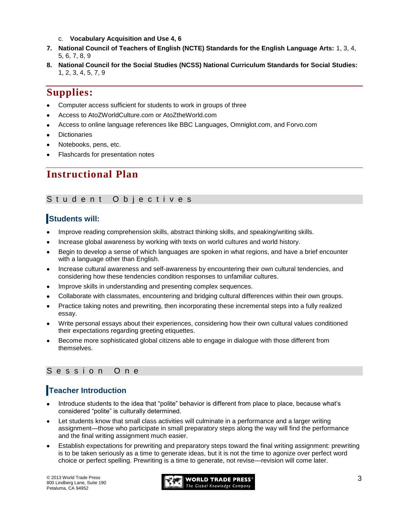- c. **Vocabulary Acquisition and Use 4, 6**
- **7. National Council of Teachers of English (NCTE) Standards for the English Language Arts:** 1, 3, 4, 5, 6, 7, 8, 9
- **8. National Council for the Social Studies (NCSS) National Curriculum Standards for Social Studies:** 1, 2, 3, 4, 5, 7, 9

## **Supplies:**

- Computer access sufficient for students to work in groups of three
- Access to AtoZWorldCulture.com or AtoZtheWorld.com
- Access to online language references like BBC Languages, Omniglot.com, and Forvo.com
- **Dictionaries**
- Notebooks, pens, etc.
- Flashcards for presentation notes

## **Instructional Plan**

### Student Objectives

### **Students will:**

- Improve reading comprehension skills, abstract thinking skills, and speaking/writing skills.
- Increase global awareness by working with texts on world cultures and world history.
- Begin to develop a sense of which languages are spoken in what regions, and have a brief encounter with a language other than English.
- Increase cultural awareness and self-awareness by encountering their own cultural tendencies, and considering how these tendencies condition responses to unfamiliar cultures.
- Improve skills in understanding and presenting complex sequences.
- Collaborate with classmates, encountering and bridging cultural differences within their own groups.
- Practice taking notes and prewriting, then incorporating these incremental steps into a fully realized  $\bullet$ essay.
- Write personal essays about their experiences, considering how their own cultural values conditioned their expectations regarding greeting etiquettes.
- Become more sophisticated global citizens able to engage in dialogue with those different from themselves.

### Session One

## **Teacher Introduction**

- Introduce students to the idea that "polite" behavior is different from place to place, because what's considered "polite" is culturally determined.
- Let students know that small class activities will culminate in a performance and a larger writing assignment—those who participate in small preparatory steps along the way will find the performance and the final writing assignment much easier.
- Establish expectations for prewriting and preparatory steps toward the final writing assignment: prewriting is to be taken seriously as a time to generate ideas, but it is not the time to agonize over perfect word choice or perfect spelling. Prewriting is a time to generate, not revise—revision will come later.

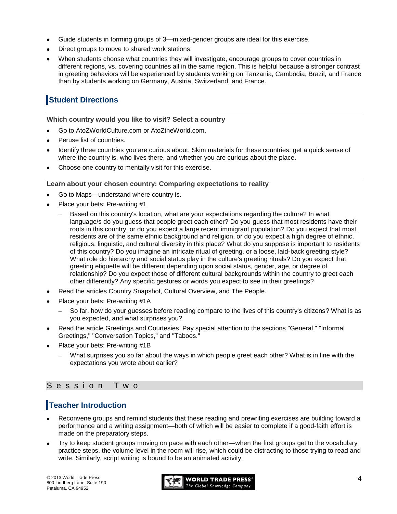- Guide students in forming groups of 3—mixed-gender groups are ideal for this exercise.
- Direct groups to move to shared work stations.
- When students choose what countries they will investigate, encourage groups to cover countries in different regions, vs. covering countries all in the same region. This is helpful because a stronger contrast in greeting behaviors will be experienced by students working on Tanzania, Cambodia, Brazil, and France than by students working on Germany, Austria, Switzerland, and France.

## **Student Directions**

**Which country would you like to visit? Select a country**

- Go to AtoZWorldCulture.com or AtoZtheWorld.com.
- Peruse list of countries.
- Identify three countries you are curious about. Skim materials for these countries: get a quick sense of where the country is, who lives there, and whether you are curious about the place.
- Choose one country to mentally visit for this exercise.

#### **Learn about your chosen country: Comparing expectations to reality**

- Go to Maps—understand where country is.
- Place your bets: Pre-writing #1
	- Based on this country's location, what are your expectations regarding the culture? In what language/s do you guess that people greet each other? Do you guess that most residents have their roots in this country, or do you expect a large recent immigrant population? Do you expect that most residents are of the same ethnic background and religion, or do you expect a high degree of ethnic, religious, linguistic, and cultural diversity in this place? What do you suppose is important to residents of this country? Do you imagine an intricate ritual of greeting, or a loose, laid-back greeting style? What role do hierarchy and social status play in the culture's greeting rituals? Do you expect that greeting etiquette will be different depending upon social status, gender, age, or degree of relationship? Do you expect those of different cultural backgrounds within the country to greet each other differently? Any specific gestures or words you expect to see in their greetings?
- Read the articles Country Snapshot, Cultural Overview, and The People.
- Place your bets: Pre-writing #1A
	- So far, how do your guesses before reading compare to the lives of this country's citizens? What is as you expected, and what surprises you?
- Read the article Greetings and Courtesies. Pay special attention to the sections "General," "Informal Greetings," "Conversation Topics," and "Taboos."
- Place your bets: Pre-writing #1B
	- What surprises you so far about the ways in which people greet each other? What is in line with the expectations you wrote about earlier?

### S e s s i o n T w o

## **Teacher Introduction**

- Reconvene groups and remind students that these reading and prewriting exercises are building toward a performance and a writing assignment—both of which will be easier to complete if a good-faith effort is made on the preparatory steps.
- Try to keep student groups moving on pace with each other—when the first groups get to the vocabulary practice steps, the volume level in the room will rise, which could be distracting to those trying to read and write. Similarly, script writing is bound to be an animated activity.

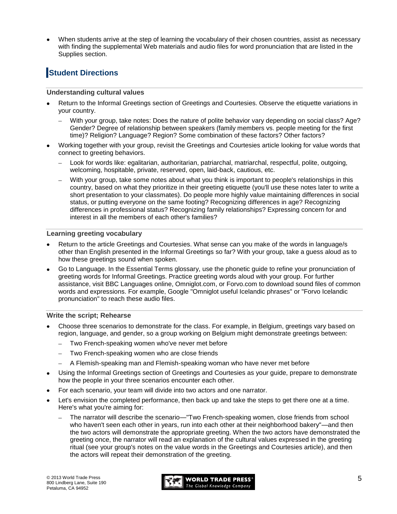When students arrive at the step of learning the vocabulary of their chosen countries, assist as necessary with finding the supplemental Web materials and audio files for word pronunciation that are listed in the Supplies section.

## **Student Directions**

#### **Understanding cultural values**

- Return to the Informal Greetings section of Greetings and Courtesies. Observe the etiquette variations in your country.
	- $\equiv$ With your group, take notes: Does the nature of polite behavior vary depending on social class? Age? Gender? Degree of relationship between speakers (family members vs. people meeting for the first time)? Religion? Language? Region? Some combination of these factors? Other factors?
- Working together with your group, revisit the Greetings and Courtesies article looking for value words that connect to greeting behaviors.
	- Look for words like: egalitarian, authoritarian, patriarchal, matriarchal, respectful, polite, outgoing, welcoming, hospitable, private, reserved, open, laid-back, cautious, etc.
	- With your group, take some notes about what you think is important to people's relationships in this country, based on what they prioritize in their greeting etiquette (you'll use these notes later to write a short presentation to your classmates). Do people more highly value maintaining differences in social status, or putting everyone on the same footing? Recognizing differences in age? Recognizing differences in professional status? Recognizing family relationships? Expressing concern for and interest in all the members of each other's families?

#### **Learning greeting vocabulary**

- Return to the article Greetings and Courtesies. What sense can you make of the words in language/s other than English presented in the Informal Greetings so far? With your group, take a guess aloud as to how these greetings sound when spoken.
- Go to Language. In the Essential Terms glossary, use the phonetic guide to refine your pronunciation of greeting words for Informal Greetings. Practice greeting words aloud with your group. For further assistance, visit BBC Languages online, Omniglot.com, or Forvo.com to download sound files of common words and expressions. For example, Google "Omniglot useful Icelandic phrases" or "Forvo Icelandic pronunciation" to reach these audio files.

#### **Write the script; Rehearse**

- Choose three scenarios to demonstrate for the class. For example, in Belgium, greetings vary based on region, language, and gender, so a group working on Belgium might demonstrate greetings between:
	- Two French-speaking women who've never met before  $\equiv$
	- Two French-speaking women who are close friends  $\equiv$
	- A Flemish-speaking man and Flemish-speaking woman who have never met before
- Using the Informal Greetings section of Greetings and Courtesies as your guide, prepare to demonstrate how the people in your three scenarios encounter each other.
- For each scenario, your team will divide into two actors and one narrator.
- Let's envision the completed performance, then back up and take the steps to get there one at a time. Here's what you're aiming for:
	- The narrator will describe the scenario—"Two French-speaking women, close friends from school who haven't seen each other in years, run into each other at their neighborhood bakery"—and then the two actors will demonstrate the appropriate greeting. When the two actors have demonstrated the greeting once, the narrator will read an explanation of the cultural values expressed in the greeting ritual (see your group's notes on the value words in the Greetings and Courtesies article), and then the actors will repeat their demonstration of the greeting.

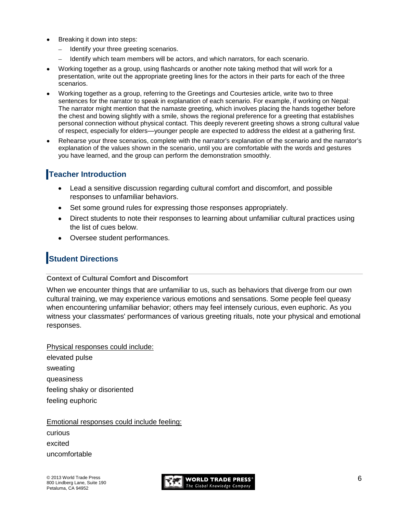- Breaking it down into steps:
	- Identify your three greeting scenarios.  $\equiv$
	- Identify which team members will be actors, and which narrators, for each scenario.  $\equiv$
- Working together as a group, using flashcards or another note taking method that will work for a presentation, write out the appropriate greeting lines for the actors in their parts for each of the three scenarios.
- Working together as a group, referring to the Greetings and Courtesies article, write two to three sentences for the narrator to speak in explanation of each scenario. For example, if working on Nepal: The narrator might mention that the namaste greeting, which involves placing the hands together before the chest and bowing slightly with a smile, shows the regional preference for a greeting that establishes personal connection without physical contact. This deeply reverent greeting shows a strong cultural value of respect, especially for elders—younger people are expected to address the eldest at a gathering first.
- Rehearse your three scenarios, complete with the narrator's explanation of the scenario and the narrator's explanation of the values shown in the scenario, until you are comfortable with the words and gestures you have learned, and the group can perform the demonstration smoothly.

## **Teacher Introduction**

- Lead a sensitive discussion regarding cultural comfort and discomfort, and possible responses to unfamiliar behaviors.
- Set some ground rules for expressing those responses appropriately.
- Direct students to note their responses to learning about unfamiliar cultural practices using the list of cues below.
- Oversee student performances.  $\bullet$

## **Student Directions**

### **Context of Cultural Comfort and Discomfort**

When we encounter things that are unfamiliar to us, such as behaviors that diverge from our own cultural training, we may experience various emotions and sensations. Some people feel queasy when encountering unfamiliar behavior; others may feel intensely curious, even euphoric. As you witness your classmates' performances of various greeting rituals, note your physical and emotional responses.

Physical responses could include: elevated pulse sweating queasiness feeling shaky or disoriented feeling euphoric

Emotional responses could include feeling: curious excited

uncomfortable

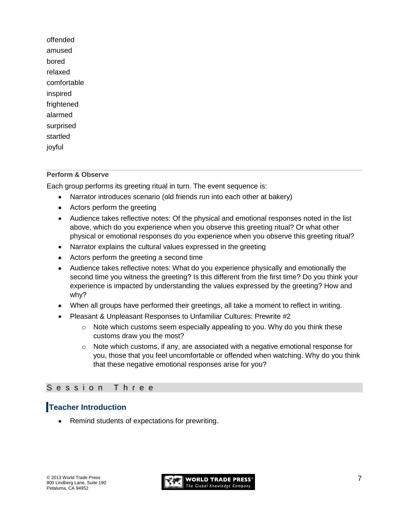offended amused bored relaxed comfortable inspired frightened alarmed surprised startled joyful

### **Perform & Observe**

Each group performs its greeting ritual in turn. The event sequence is:

- Narrator introduces scenario (old friends run into each other at bakery)  $\bullet$
- Actors perform the greeting
- Audience takes reflective notes: Of the physical and emotional responses noted in the list above, which do you experience when you observe this greeting ritual? Or what other physical or emotional responses do you experience when you observe this greeting ritual?
- Narrator explains the cultural values expressed in the greeting
- Actors perform the greeting a second time
- Audience takes reflective notes: What do you experience physically and emotionally the second time you witness the greeting? Is this different from the first time? Do you think your experience is impacted by understanding the values expressed by the greeting? How and why?
- When all groups have performed their greetings, all take a moment to reflect in writing.
- Pleasant & Unpleasant Responses to Unfamiliar Cultures: Prewrite #2
	- $\circ$  Note which customs seem especially appealing to you. Why do you think these customs draw you the most?
	- $\circ$  Note which customs, if any, are associated with a negative emotional response for you, those that you feel uncomfortable or offended when watching. Why do you think that these negative emotional responses arise for you?

### Session Three

### **Teacher Introduction**

Remind students of expectations for prewriting.

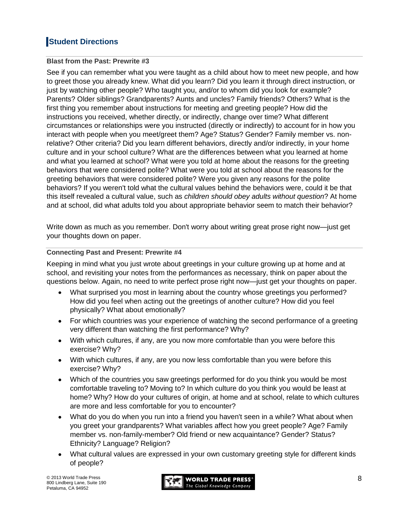## **Student Directions**

### **Blast from the Past: Prewrite #3**

See if you can remember what you were taught as a child about how to meet new people, and how to greet those you already knew. What did you learn? Did you learn it through direct instruction, or just by watching other people? Who taught you, and/or to whom did you look for example? Parents? Older siblings? Grandparents? Aunts and uncles? Family friends? Others? What is the first thing you remember about instructions for meeting and greeting people? How did the instructions you received, whether directly, or indirectly, change over time? What different circumstances or relationships were you instructed (directly or indirectly) to account for in how you interact with people when you meet/greet them? Age? Status? Gender? Family member vs. nonrelative? Other criteria? Did you learn different behaviors, directly and/or indirectly, in your home culture and in your school culture? What are the differences between what you learned at home and what you learned at school? What were you told at home about the reasons for the greeting behaviors that were considered polite? What were you told at school about the reasons for the greeting behaviors that were considered polite? Were you given any reasons for the polite behaviors? If you weren't told what the cultural values behind the behaviors were, could it be that this itself revealed a cultural value, such as *children should obey adults without question*? At home and at school, did what adults told you about appropriate behavior seem to match their behavior?

Write down as much as you remember. Don't worry about writing great prose right now—just get your thoughts down on paper.

### **Connecting Past and Present: Prewrite #4**

Keeping in mind what you just wrote about greetings in your culture growing up at home and at school, and revisiting your notes from the performances as necessary, think on paper about the questions below. Again, no need to write perfect prose right now—just get your thoughts on paper.

- What surprised you most in learning about the country whose greetings you performed? How did you feel when acting out the greetings of another culture? How did you feel physically? What about emotionally?
- For which countries was your experience of watching the second performance of a greeting very different than watching the first performance? Why?
- With which cultures, if any, are you now more comfortable than you were before this exercise? Why?
- With which cultures, if any, are you now less comfortable than you were before this exercise? Why?
- Which of the countries you saw greetings performed for do you think you would be most comfortable traveling to? Moving to? In which culture do you think you would be least at home? Why? How do your cultures of origin, at home and at school, relate to which cultures are more and less comfortable for you to encounter?
- What do you do when you run into a friend you haven't seen in a while? What about when  $\bullet$ you greet your grandparents? What variables affect how you greet people? Age? Family member vs. non-family-member? Old friend or new acquaintance? Gender? Status? Ethnicity? Language? Religion?
- What cultural values are expressed in your own customary greeting style for different kinds of people?

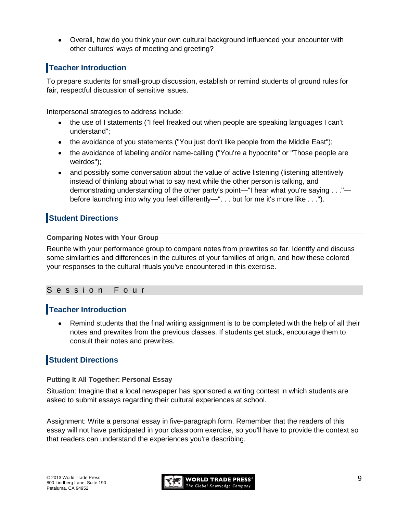Overall, how do you think your own cultural background influenced your encounter with other cultures' ways of meeting and greeting?

## **Teacher Introduction**

To prepare students for small-group discussion, establish or remind students of ground rules for fair, respectful discussion of sensitive issues.

Interpersonal strategies to address include:

- the use of I statements ("I feel freaked out when people are speaking languages I can't  $\bullet$ understand";
- the avoidance of you statements ("You just don't like people from the Middle East");
- the avoidance of labeling and/or name-calling ("You're a hypocrite" or "Those people are weirdos");
- and possibly some conversation about the value of active listening (listening attentively instead of thinking about what to say next while the other person is talking, and demonstrating understanding of the other party's point—"I hear what you're saying . . ." before launching into why you feel differently—". . . but for me it's more like . . .").

## **Student Directions**

### **Comparing Notes with Your Group**

Reunite with your performance group to compare notes from prewrites so far. Identify and discuss some similarities and differences in the cultures of your families of origin, and how these colored your responses to the cultural rituals you've encountered in this exercise.

### S e s s i o n F o u r

### **Teacher Introduction**

Remind students that the final writing assignment is to be completed with the help of all their notes and prewrites from the previous classes. If students get stuck, encourage them to consult their notes and prewrites.

## **Student Directions**

### **Putting It All Together: Personal Essay**

Situation: Imagine that a local newspaper has sponsored a writing contest in which students are asked to submit essays regarding their cultural experiences at school.

Assignment: Write a personal essay in five-paragraph form. Remember that the readers of this essay will not have participated in your classroom exercise, so you'll have to provide the context so that readers can understand the experiences you're describing.